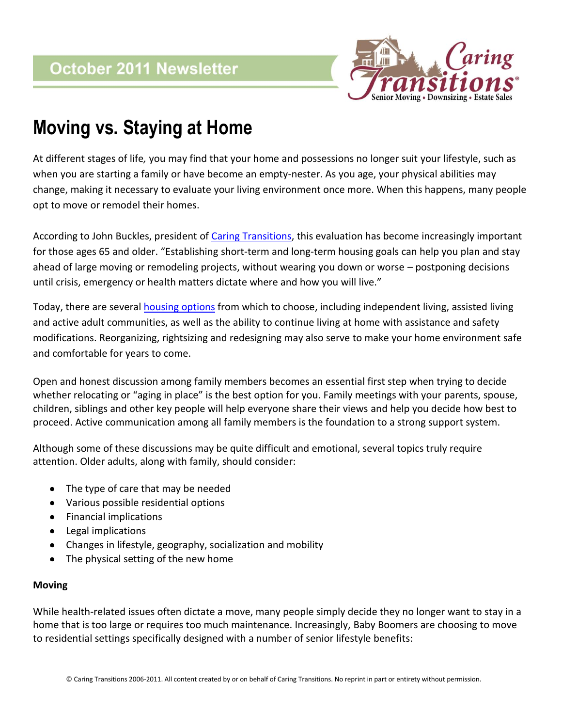

# **Moving vs. Staying at Home**

At different stages of life*,* you may find that your home and possessions no longer suit your lifestyle, such as when you are starting a family or have become an empty-nester. As you age, your physical abilities may change, making it necessary to evaluate your living environment once more. When this happens, many people opt to move or remodel their homes.

According to John Buckles, president of [Caring Transitions,](http://www.caringtransitions.net/) this evaluation has become increasingly important for those ages 65 and older. "Establishing short-term and long-term housing goals can help you plan and stay ahead of large moving or remodeling projects, without wearing you down or worse – postponing decisions until crisis, emergency or health matters dictate where and how you will live."

Today, there are several [housing options](http://www.retirementhomes.com/) from which to choose, including independent living, assisted living and active adult communities, as well as the ability to continue living at home with assistance and safety modifications. Reorganizing, rightsizing and redesigning may also serve to make your home environment safe and comfortable for years to come.

Open and honest discussion among family members becomes an essential first step when trying to decide whether relocating or "aging in place" is the best option for you. Family meetings with your parents, spouse, children, siblings and other key people will help everyone share their views and help you decide how best to proceed. Active communication among all family members is the foundation to a strong support system.

Although some of these discussions may be quite difficult and emotional, several topics truly require attention. Older adults, along with family, should consider:

- The type of care that may be needed  $\bullet$
- Various possible residential options
- Financial implications
- Legal implications
- Changes in lifestyle, geography, socialization and mobility
- The physical setting of the new home

## **Moving**

While health-related issues often dictate a move, many people simply decide they no longer want to stay in a home that is too large or requires too much maintenance. Increasingly, Baby Boomers are choosing to move to residential settings specifically designed with a number of senior lifestyle benefits: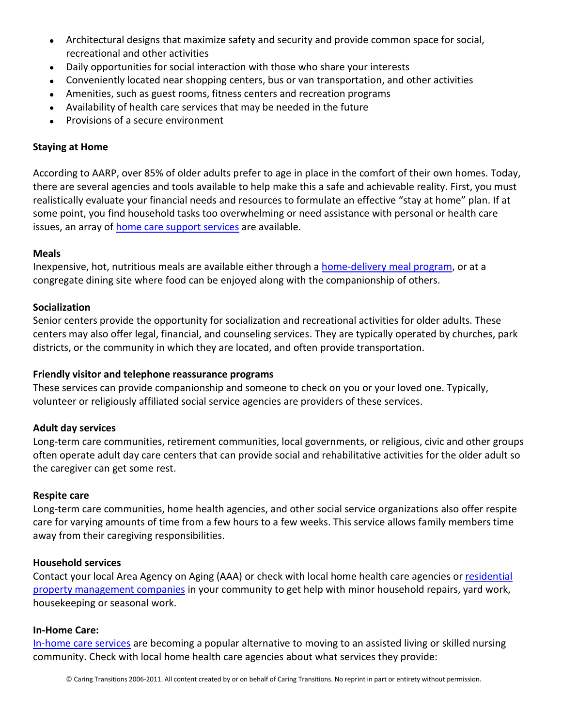- Architectural designs that maximize safety and security and provide common space for social, recreational and other activities
- Daily opportunities for social interaction with those who share your interests
- Conveniently located near shopping centers, bus or van transportation, and other activities
- Amenities, such as guest rooms, fitness centers and recreation programs
- Availability of health care services that may be needed in the future
- Provisions of a secure environment

# **Staying at Home**

According to AARP, over 85% of older adults prefer to age in place in the comfort of their own homes. Today, there are several agencies and tools available to help make this a safe and achievable reality. First, you must realistically evaluate your financial needs and resources to formulate an effective "stay at home" plan. If at some point, you find household tasks too overwhelming or need assistance with personal or health care issues, an array of [home care support services](http://www.care.com/) are available.

#### **Meals**

Inexpensive, hot, nutritious meals are available either through a [home-delivery](http://www.mowaa.org/) meal program, or at a congregate dining site where food can be enjoyed along with the companionship of others.

#### **Socialization**

Senior centers provide the opportunity for socialization and recreational activities for older adults. These centers may also offer legal, financial, and counseling services. They are typically operated by churches, park districts, or the community in which they are located, and often provide transportation.

## **Friendly visitor and telephone reassurance programs**

These services can provide companionship and someone to check on you or your loved one. Typically, volunteer or religiously affiliated social service agencies are providers of these services.

#### **Adult day services**

Long-term care communities, retirement communities, local governments, or religious, civic and other groups often operate adult day care centers that can provide social and rehabilitative activities for the older adult so the caregiver can get some rest.

#### **Respite care**

Long-term care communities, home health agencies, and other social service organizations also offer respite care for varying amounts of time from a few hours to a few weeks. This service allows family members time away from their caregiving responsibilities.

#### **Household services**

Contact your local Area Agency on Aging (AAA) or check with local home health care agencies or [residential](http://www.trubluehousecare.com/)  [property management companies](http://www.trubluehousecare.com/) in your community to get help with minor household repairs, yard work, housekeeping or seasonal work.

#### **In-Home Care:**

[In-home care services](http://www.homehelpers.cc/) are becoming a popular alternative to moving to an assisted living or skilled nursing community. Check with local home health care agencies about what services they provide: